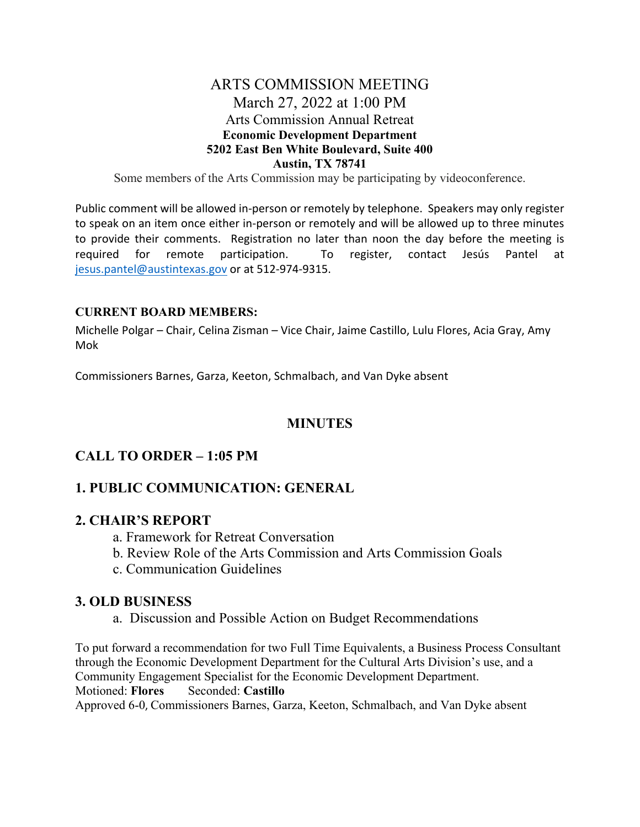## ARTS COMMISSION MEETING March 27, 2022 at 1:00 PM Arts Commission Annual Retreat **Economic Development Department 5202 East Ben White Boulevard, Suite 400 Austin, TX 78741**

Some members of the Arts Commission may be participating by videoconference.

Public comment will be allowed in‐person or remotely by telephone. Speakers may only register to speak on an item once either in‐person or remotely and will be allowed up to three minutes to provide their comments. Registration no later than noon the day before the meeting is required for remote participation. To register, contact Jesús Pantel at jesus.pantel@austintexas.gov or at 512‐974‐9315.

#### **CURRENT BOARD MEMBERS:**

Michelle Polgar – Chair, Celina Zisman – Vice Chair, Jaime Castillo, Lulu Flores, Acia Gray, Amy Mok

Commissioners Barnes, Garza, Keeton, Schmalbach, and Van Dyke absent

## **MINUTES**

## **CALL TO ORDER – 1:05 PM**

## **1. PUBLIC COMMUNICATION: GENERAL**

#### **2. CHAIR'S REPORT**

- a. Framework for Retreat Conversation
- b. Review Role of the Arts Commission and Arts Commission Goals
- c. Communication Guidelines

## **3. OLD BUSINESS**

a. Discussion and Possible Action on Budget Recommendations

To put forward a recommendation for two Full Time Equivalents, a Business Process Consultant through the Economic Development Department for the Cultural Arts Division's use, and a Community Engagement Specialist for the Economic Development Department. Motioned: **Flores** Seconded: **Castillo** Approved 6-0, Commissioners Barnes, Garza, Keeton, Schmalbach, and Van Dyke absent